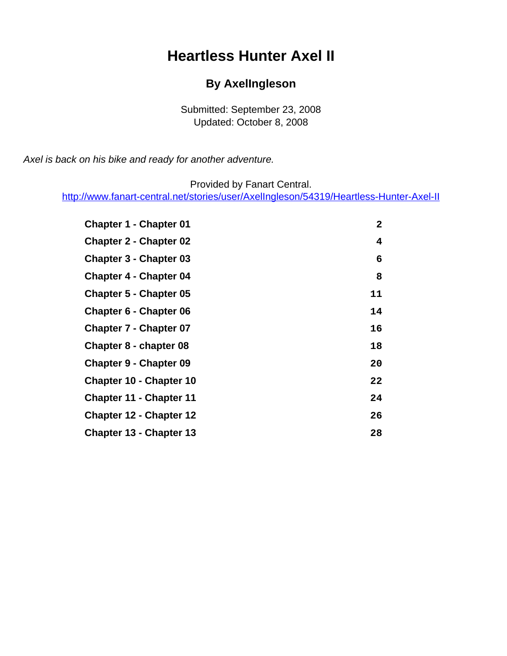# **Heartless Hunter Axel II**

#### **By AxelIngleson**

Submitted: September 23, 2008 Updated: October 8, 2008

<span id="page-0-0"></span>Axel is back on his bike and ready for another adventure.

Provided by Fanart Central.

[http://www.fanart-central.net/stories/user/AxelIngleson/54319/Heartless-Hunter-Axel-II](#page-0-0)

| <b>Chapter 1 - Chapter 01</b>  | 2  |
|--------------------------------|----|
| <b>Chapter 2 - Chapter 02</b>  | 4  |
| <b>Chapter 3 - Chapter 03</b>  | 6  |
| <b>Chapter 4 - Chapter 04</b>  | 8  |
| <b>Chapter 5 - Chapter 05</b>  | 11 |
| <b>Chapter 6 - Chapter 06</b>  | 14 |
| <b>Chapter 7 - Chapter 07</b>  | 16 |
| Chapter 8 - chapter 08         | 18 |
| <b>Chapter 9 - Chapter 09</b>  | 20 |
| <b>Chapter 10 - Chapter 10</b> | 22 |
| <b>Chapter 11 - Chapter 11</b> | 24 |
| <b>Chapter 12 - Chapter 12</b> | 26 |
| <b>Chapter 13 - Chapter 13</b> | 28 |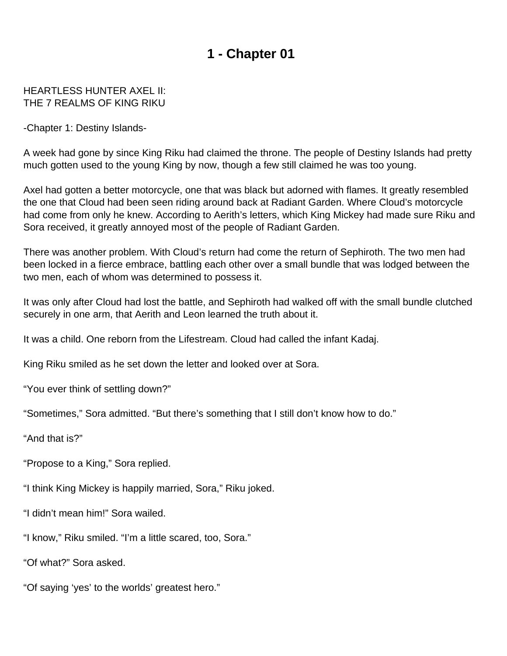#### <span id="page-1-0"></span>HEARTLESS HUNTER AXEL II: THE 7 REALMS OF KING RIKU

-Chapter 1: Destiny Islands-

A week had gone by since King Riku had claimed the throne. The people of Destiny Islands had pretty much gotten used to the young King by now, though a few still claimed he was too young.

Axel had gotten a better motorcycle, one that was black but adorned with flames. It greatly resembled the one that Cloud had been seen riding around back at Radiant Garden. Where Cloud's motorcycle had come from only he knew. According to Aerith's letters, which King Mickey had made sure Riku and Sora received, it greatly annoyed most of the people of Radiant Garden.

There was another problem. With Cloud's return had come the return of Sephiroth. The two men had been locked in a fierce embrace, battling each other over a small bundle that was lodged between the two men, each of whom was determined to possess it.

It was only after Cloud had lost the battle, and Sephiroth had walked off with the small bundle clutched securely in one arm, that Aerith and Leon learned the truth about it.

It was a child. One reborn from the Lifestream. Cloud had called the infant Kadaj.

King Riku smiled as he set down the letter and looked over at Sora.

"You ever think of settling down?"

"Sometimes," Sora admitted. "But there's something that I still don't know how to do."

"And that is?"

"Propose to a King," Sora replied.

"I think King Mickey is happily married, Sora," Riku joked.

"I didn't mean him!" Sora wailed.

"I know," Riku smiled. "I'm a little scared, too, Sora."

"Of what?" Sora asked.

"Of saying 'yes' to the worlds' greatest hero."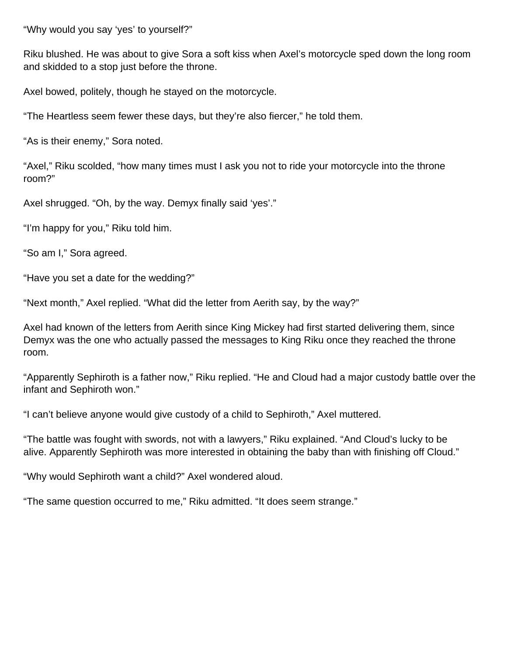"Why would you say 'yes' to yourself?"

Riku blushed. He was about to give Sora a soft kiss when Axel's motorcycle sped down the long room and skidded to a stop just before the throne.

Axel bowed, politely, though he stayed on the motorcycle.

"The Heartless seem fewer these days, but they're also fiercer," he told them.

"As is their enemy," Sora noted.

"Axel," Riku scolded, "how many times must I ask you not to ride your motorcycle into the throne room?"

Axel shrugged. "Oh, by the way. Demyx finally said 'yes'."

"I'm happy for you," Riku told him.

"So am I," Sora agreed.

"Have you set a date for the wedding?"

"Next month," Axel replied. "What did the letter from Aerith say, by the way?"

Axel had known of the letters from Aerith since King Mickey had first started delivering them, since Demyx was the one who actually passed the messages to King Riku once they reached the throne room.

"Apparently Sephiroth is a father now," Riku replied. "He and Cloud had a major custody battle over the infant and Sephiroth won."

"I can't believe anyone would give custody of a child to Sephiroth," Axel muttered.

"The battle was fought with swords, not with a lawyers," Riku explained. "And Cloud's lucky to be alive. Apparently Sephiroth was more interested in obtaining the baby than with finishing off Cloud."

"Why would Sephiroth want a child?" Axel wondered aloud.

"The same question occurred to me," Riku admitted. "It does seem strange."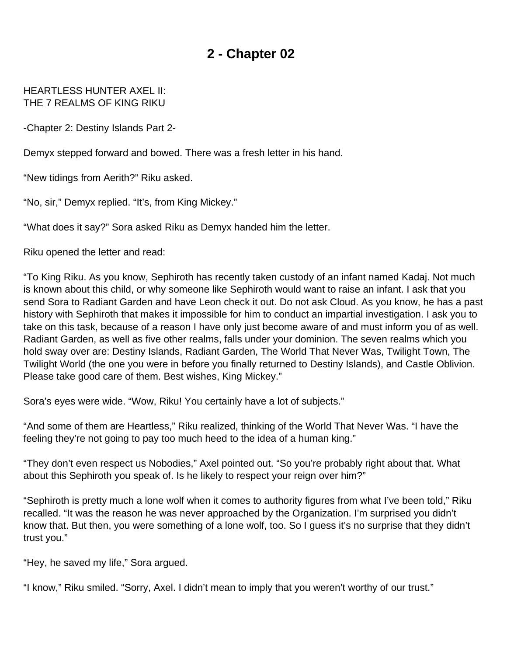#### <span id="page-3-0"></span>HEARTLESS HUNTER AXEL II: THE 7 REALMS OF KING RIKU

-Chapter 2: Destiny Islands Part 2-

Demyx stepped forward and bowed. There was a fresh letter in his hand.

"New tidings from Aerith?" Riku asked.

"No, sir," Demyx replied. "It's, from King Mickey."

"What does it say?" Sora asked Riku as Demyx handed him the letter.

Riku opened the letter and read:

"To King Riku. As you know, Sephiroth has recently taken custody of an infant named Kadaj. Not much is known about this child, or why someone like Sephiroth would want to raise an infant. I ask that you send Sora to Radiant Garden and have Leon check it out. Do not ask Cloud. As you know, he has a past history with Sephiroth that makes it impossible for him to conduct an impartial investigation. I ask you to take on this task, because of a reason I have only just become aware of and must inform you of as well. Radiant Garden, as well as five other realms, falls under your dominion. The seven realms which you hold sway over are: Destiny Islands, Radiant Garden, The World That Never Was, Twilight Town, The Twilight World (the one you were in before you finally returned to Destiny Islands), and Castle Oblivion. Please take good care of them. Best wishes, King Mickey."

Sora's eyes were wide. "Wow, Riku! You certainly have a lot of subjects."

"And some of them are Heartless," Riku realized, thinking of the World That Never Was. "I have the feeling they're not going to pay too much heed to the idea of a human king."

"They don't even respect us Nobodies," Axel pointed out. "So you're probably right about that. What about this Sephiroth you speak of. Is he likely to respect your reign over him?"

"Sephiroth is pretty much a lone wolf when it comes to authority figures from what I've been told," Riku recalled. "It was the reason he was never approached by the Organization. I'm surprised you didn't know that. But then, you were something of a lone wolf, too. So I guess it's no surprise that they didn't trust you."

"Hey, he saved my life," Sora argued.

"I know," Riku smiled. "Sorry, Axel. I didn't mean to imply that you weren't worthy of our trust."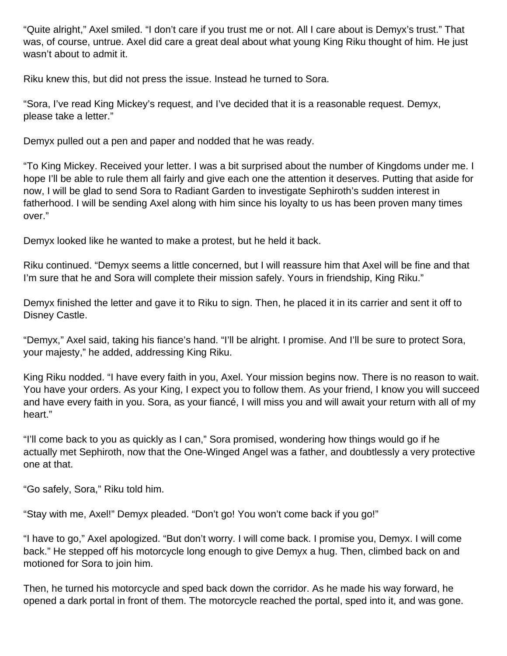"Quite alright," Axel smiled. "I don't care if you trust me or not. All I care about is Demyx's trust." That was, of course, untrue. Axel did care a great deal about what young King Riku thought of him. He just wasn't about to admit it.

Riku knew this, but did not press the issue. Instead he turned to Sora.

"Sora, I've read King Mickey's request, and I've decided that it is a reasonable request. Demyx, please take a letter."

Demyx pulled out a pen and paper and nodded that he was ready.

"To King Mickey. Received your letter. I was a bit surprised about the number of Kingdoms under me. I hope I'll be able to rule them all fairly and give each one the attention it deserves. Putting that aside for now, I will be glad to send Sora to Radiant Garden to investigate Sephiroth's sudden interest in fatherhood. I will be sending Axel along with him since his loyalty to us has been proven many times over."

Demyx looked like he wanted to make a protest, but he held it back.

Riku continued. "Demyx seems a little concerned, but I will reassure him that Axel will be fine and that I'm sure that he and Sora will complete their mission safely. Yours in friendship, King Riku."

Demyx finished the letter and gave it to Riku to sign. Then, he placed it in its carrier and sent it off to Disney Castle.

"Demyx," Axel said, taking his fiance's hand. "I'll be alright. I promise. And I'll be sure to protect Sora, your majesty," he added, addressing King Riku.

King Riku nodded. "I have every faith in you, Axel. Your mission begins now. There is no reason to wait. You have your orders. As your King, I expect you to follow them. As your friend, I know you will succeed and have every faith in you. Sora, as your fiancé, I will miss you and will await your return with all of my heart."

"I'll come back to you as quickly as I can," Sora promised, wondering how things would go if he actually met Sephiroth, now that the One-Winged Angel was a father, and doubtlessly a very protective one at that.

"Go safely, Sora," Riku told him.

"Stay with me, Axel!" Demyx pleaded. "Don't go! You won't come back if you go!"

"I have to go," Axel apologized. "But don't worry. I will come back. I promise you, Demyx. I will come back." He stepped off his motorcycle long enough to give Demyx a hug. Then, climbed back on and motioned for Sora to join him.

Then, he turned his motorcycle and sped back down the corridor. As he made his way forward, he opened a dark portal in front of them. The motorcycle reached the portal, sped into it, and was gone.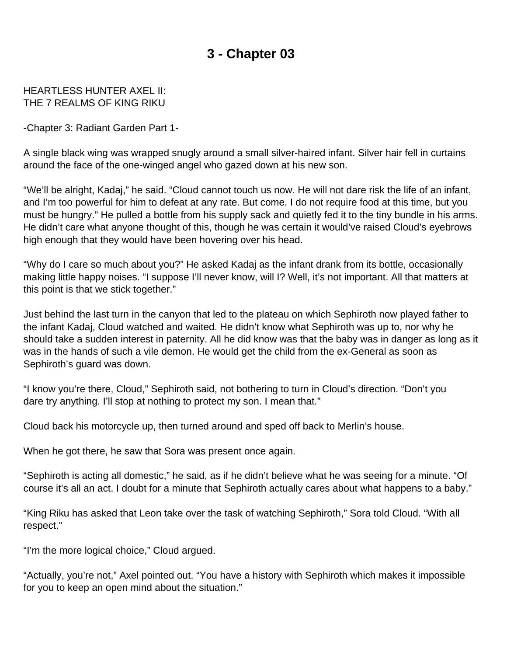#### <span id="page-5-0"></span>HEARTLESS HUNTER AXEL II: THE 7 REALMS OF KING RIKU

-Chapter 3: Radiant Garden Part 1-

A single black wing was wrapped snugly around a small silver-haired infant. Silver hair fell in curtains around the face of the one-winged angel who gazed down at his new son.

"We'll be alright, Kadaj," he said. "Cloud cannot touch us now. He will not dare risk the life of an infant, and I'm too powerful for him to defeat at any rate. But come. I do not require food at this time, but you must be hungry." He pulled a bottle from his supply sack and quietly fed it to the tiny bundle in his arms. He didn't care what anyone thought of this, though he was certain it would've raised Cloud's eyebrows high enough that they would have been hovering over his head.

"Why do I care so much about you?" He asked Kadaj as the infant drank from its bottle, occasionally making little happy noises. "I suppose I'll never know, will I? Well, it's not important. All that matters at this point is that we stick together."

Just behind the last turn in the canyon that led to the plateau on which Sephiroth now played father to the infant Kadaj, Cloud watched and waited. He didn't know what Sephiroth was up to, nor why he should take a sudden interest in paternity. All he did know was that the baby was in danger as long as it was in the hands of such a vile demon. He would get the child from the ex-General as soon as Sephiroth's guard was down.

"I know you're there, Cloud," Sephiroth said, not bothering to turn in Cloud's direction. "Don't you dare try anything. I'll stop at nothing to protect my son. I mean that."

Cloud back his motorcycle up, then turned around and sped off back to Merlin's house.

When he got there, he saw that Sora was present once again.

"Sephiroth is acting all domestic," he said, as if he didn't believe what he was seeing for a minute. "Of course it's all an act. I doubt for a minute that Sephiroth actually cares about what happens to a baby."

"King Riku has asked that Leon take over the task of watching Sephiroth," Sora told Cloud. "With all respect."

"I'm the more logical choice," Cloud argued.

"Actually, you're not," Axel pointed out. "You have a history with Sephiroth which makes it impossible for you to keep an open mind about the situation."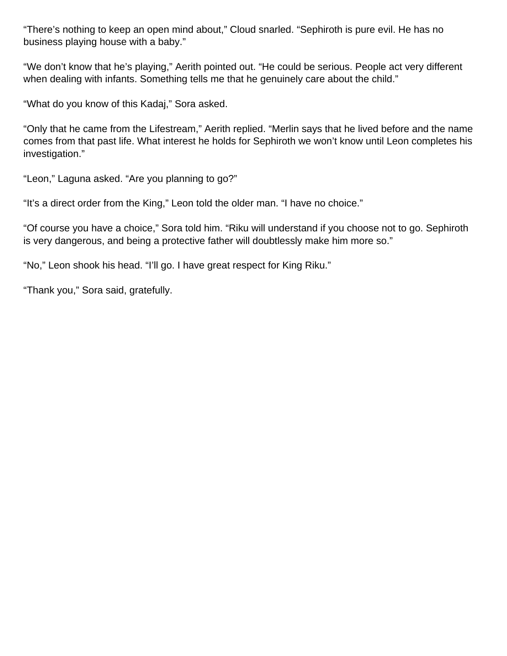"There's nothing to keep an open mind about," Cloud snarled. "Sephiroth is pure evil. He has no business playing house with a baby."

"We don't know that he's playing," Aerith pointed out. "He could be serious. People act very different when dealing with infants. Something tells me that he genuinely care about the child."

"What do you know of this Kadaj," Sora asked.

"Only that he came from the Lifestream," Aerith replied. "Merlin says that he lived before and the name comes from that past life. What interest he holds for Sephiroth we won't know until Leon completes his investigation."

"Leon," Laguna asked. "Are you planning to go?"

"It's a direct order from the King," Leon told the older man. "I have no choice."

"Of course you have a choice," Sora told him. "Riku will understand if you choose not to go. Sephiroth is very dangerous, and being a protective father will doubtlessly make him more so."

"No," Leon shook his head. "I'll go. I have great respect for King Riku."

"Thank you," Sora said, gratefully.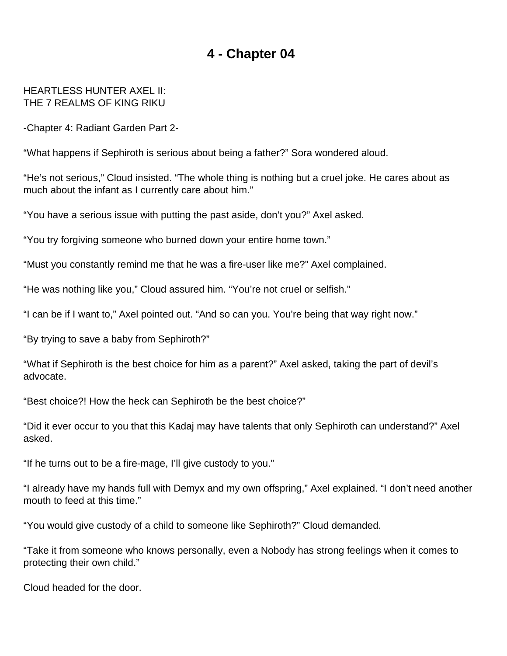#### <span id="page-7-0"></span>HEARTLESS HUNTER AXEL II: THE 7 REALMS OF KING RIKU

-Chapter 4: Radiant Garden Part 2-

"What happens if Sephiroth is serious about being a father?" Sora wondered aloud.

"He's not serious," Cloud insisted. "The whole thing is nothing but a cruel joke. He cares about as much about the infant as I currently care about him."

"You have a serious issue with putting the past aside, don't you?" Axel asked.

"You try forgiving someone who burned down your entire home town."

"Must you constantly remind me that he was a fire-user like me?" Axel complained.

"He was nothing like you," Cloud assured him. "You're not cruel or selfish."

"I can be if I want to," Axel pointed out. "And so can you. You're being that way right now."

"By trying to save a baby from Sephiroth?"

"What if Sephiroth is the best choice for him as a parent?" Axel asked, taking the part of devil's advocate.

"Best choice?! How the heck can Sephiroth be the best choice?"

"Did it ever occur to you that this Kadaj may have talents that only Sephiroth can understand?" Axel asked.

"If he turns out to be a fire-mage, I'll give custody to you."

"I already have my hands full with Demyx and my own offspring," Axel explained. "I don't need another mouth to feed at this time."

"You would give custody of a child to someone like Sephiroth?" Cloud demanded.

"Take it from someone who knows personally, even a Nobody has strong feelings when it comes to protecting their own child."

Cloud headed for the door.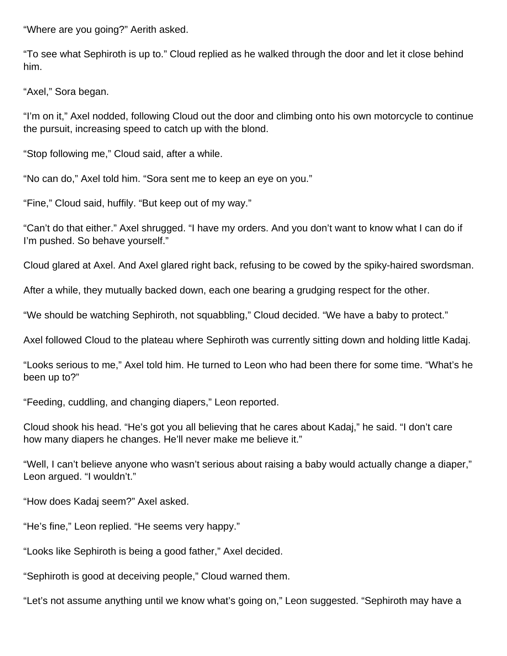"Where are you going?" Aerith asked.

"To see what Sephiroth is up to." Cloud replied as he walked through the door and let it close behind him.

"Axel," Sora began.

"I'm on it," Axel nodded, following Cloud out the door and climbing onto his own motorcycle to continue the pursuit, increasing speed to catch up with the blond.

"Stop following me," Cloud said, after a while.

"No can do," Axel told him. "Sora sent me to keep an eye on you."

"Fine," Cloud said, huffily. "But keep out of my way."

"Can't do that either." Axel shrugged. "I have my orders. And you don't want to know what I can do if I'm pushed. So behave yourself."

Cloud glared at Axel. And Axel glared right back, refusing to be cowed by the spiky-haired swordsman.

After a while, they mutually backed down, each one bearing a grudging respect for the other.

"We should be watching Sephiroth, not squabbling," Cloud decided. "We have a baby to protect."

Axel followed Cloud to the plateau where Sephiroth was currently sitting down and holding little Kadaj.

"Looks serious to me," Axel told him. He turned to Leon who had been there for some time. "What's he been up to?"

"Feeding, cuddling, and changing diapers," Leon reported.

Cloud shook his head. "He's got you all believing that he cares about Kadaj," he said. "I don't care how many diapers he changes. He'll never make me believe it."

"Well, I can't believe anyone who wasn't serious about raising a baby would actually change a diaper," Leon argued. "I wouldn't."

"How does Kadaj seem?" Axel asked.

"He's fine," Leon replied. "He seems very happy."

"Looks like Sephiroth is being a good father," Axel decided.

"Sephiroth is good at deceiving people," Cloud warned them.

"Let's not assume anything until we know what's going on," Leon suggested. "Sephiroth may have a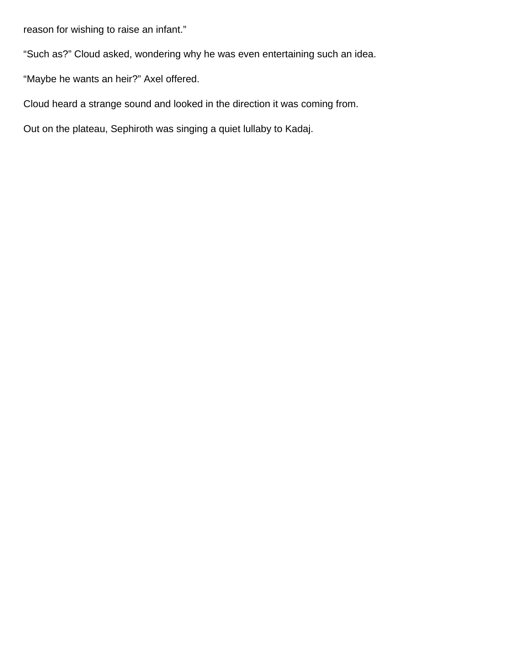reason for wishing to raise an infant."

"Such as?" Cloud asked, wondering why he was even entertaining such an idea.

"Maybe he wants an heir?" Axel offered.

Cloud heard a strange sound and looked in the direction it was coming from.

Out on the plateau, Sephiroth was singing a quiet lullaby to Kadaj.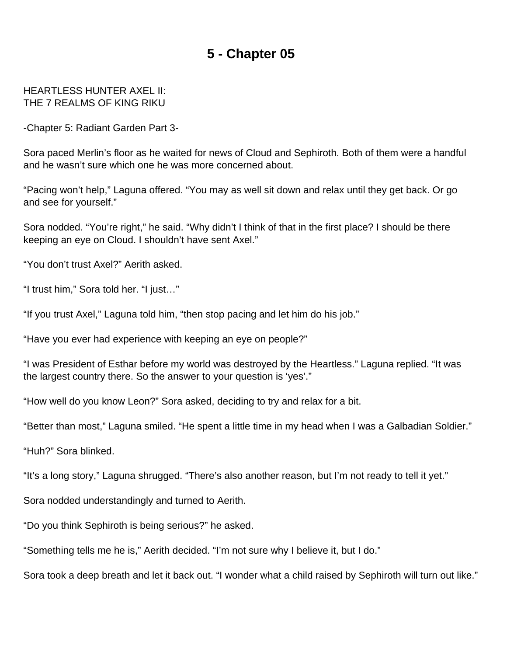#### <span id="page-10-0"></span>HEARTLESS HUNTER AXEL II: THE 7 REALMS OF KING RIKU

-Chapter 5: Radiant Garden Part 3-

Sora paced Merlin's floor as he waited for news of Cloud and Sephiroth. Both of them were a handful and he wasn't sure which one he was more concerned about.

"Pacing won't help," Laguna offered. "You may as well sit down and relax until they get back. Or go and see for yourself."

Sora nodded. "You're right," he said. "Why didn't I think of that in the first place? I should be there keeping an eye on Cloud. I shouldn't have sent Axel."

"You don't trust Axel?" Aerith asked.

"I trust him," Sora told her. "I just…"

"If you trust Axel," Laguna told him, "then stop pacing and let him do his job."

"Have you ever had experience with keeping an eye on people?"

"I was President of Esthar before my world was destroyed by the Heartless." Laguna replied. "It was the largest country there. So the answer to your question is 'yes'."

"How well do you know Leon?" Sora asked, deciding to try and relax for a bit.

"Better than most," Laguna smiled. "He spent a little time in my head when I was a Galbadian Soldier."

"Huh?" Sora blinked.

"It's a long story," Laguna shrugged. "There's also another reason, but I'm not ready to tell it yet."

Sora nodded understandingly and turned to Aerith.

"Do you think Sephiroth is being serious?" he asked.

"Something tells me he is," Aerith decided. "I'm not sure why I believe it, but I do."

Sora took a deep breath and let it back out. "I wonder what a child raised by Sephiroth will turn out like."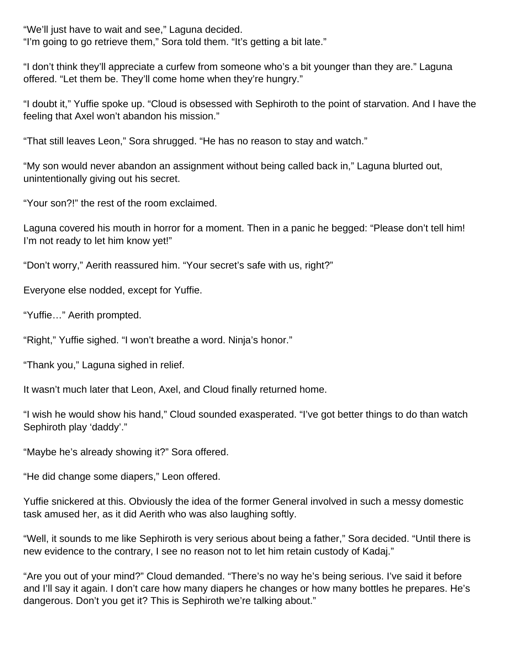"We'll just have to wait and see," Laguna decided. "I'm going to go retrieve them," Sora told them. "It's getting a bit late."

"I don't think they'll appreciate a curfew from someone who's a bit younger than they are." Laguna offered. "Let them be. They'll come home when they're hungry."

"I doubt it," Yuffie spoke up. "Cloud is obsessed with Sephiroth to the point of starvation. And I have the feeling that Axel won't abandon his mission."

"That still leaves Leon," Sora shrugged. "He has no reason to stay and watch."

"My son would never abandon an assignment without being called back in," Laguna blurted out, unintentionally giving out his secret.

"Your son?!" the rest of the room exclaimed.

Laguna covered his mouth in horror for a moment. Then in a panic he begged: "Please don't tell him! I'm not ready to let him know yet!"

"Don't worry," Aerith reassured him. "Your secret's safe with us, right?"

Everyone else nodded, except for Yuffie.

"Yuffie…" Aerith prompted.

"Right," Yuffie sighed. "I won't breathe a word. Ninja's honor."

"Thank you," Laguna sighed in relief.

It wasn't much later that Leon, Axel, and Cloud finally returned home.

"I wish he would show his hand," Cloud sounded exasperated. "I've got better things to do than watch Sephiroth play 'daddy'."

"Maybe he's already showing it?" Sora offered.

"He did change some diapers," Leon offered.

Yuffie snickered at this. Obviously the idea of the former General involved in such a messy domestic task amused her, as it did Aerith who was also laughing softly.

"Well, it sounds to me like Sephiroth is very serious about being a father," Sora decided. "Until there is new evidence to the contrary, I see no reason not to let him retain custody of Kadaj."

"Are you out of your mind?" Cloud demanded. "There's no way he's being serious. I've said it before and I'll say it again. I don't care how many diapers he changes or how many bottles he prepares. He's dangerous. Don't you get it? This is Sephiroth we're talking about."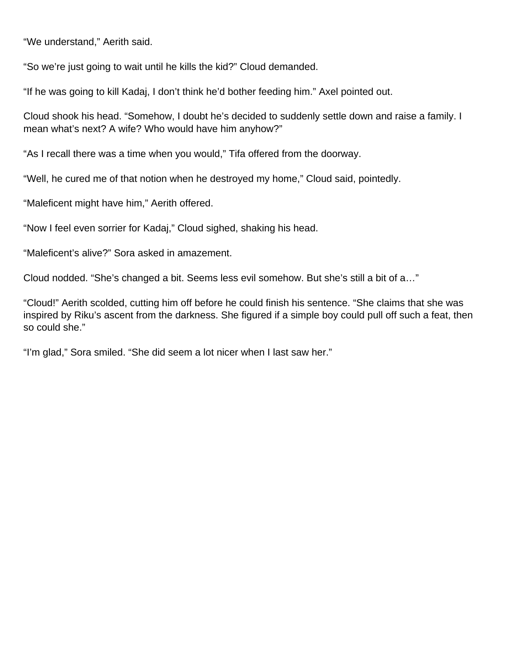"We understand," Aerith said.

"So we're just going to wait until he kills the kid?" Cloud demanded.

"If he was going to kill Kadaj, I don't think he'd bother feeding him." Axel pointed out.

Cloud shook his head. "Somehow, I doubt he's decided to suddenly settle down and raise a family. I mean what's next? A wife? Who would have him anyhow?"

"As I recall there was a time when you would," Tifa offered from the doorway.

"Well, he cured me of that notion when he destroyed my home," Cloud said, pointedly.

"Maleficent might have him," Aerith offered.

"Now I feel even sorrier for Kadaj," Cloud sighed, shaking his head.

"Maleficent's alive?" Sora asked in amazement.

Cloud nodded. "She's changed a bit. Seems less evil somehow. But she's still a bit of a…"

"Cloud!" Aerith scolded, cutting him off before he could finish his sentence. "She claims that she was inspired by Riku's ascent from the darkness. She figured if a simple boy could pull off such a feat, then so could she."

"I'm glad," Sora smiled. "She did seem a lot nicer when I last saw her."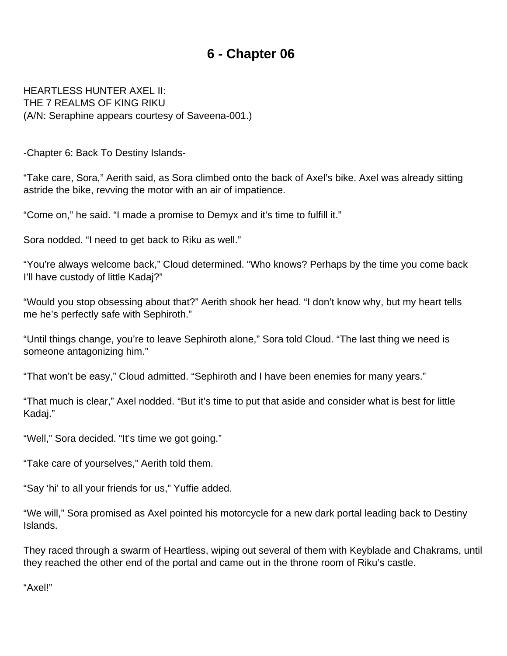<span id="page-13-0"></span>HEARTLESS HUNTER AXEL II: THE 7 REALMS OF KING RIKU (A/N: Seraphine appears courtesy of Saveena-001.)

-Chapter 6: Back To Destiny Islands-

"Take care, Sora," Aerith said, as Sora climbed onto the back of Axel's bike. Axel was already sitting astride the bike, revving the motor with an air of impatience.

"Come on," he said. "I made a promise to Demyx and it's time to fulfill it."

Sora nodded. "I need to get back to Riku as well."

"You're always welcome back," Cloud determined. "Who knows? Perhaps by the time you come back I'll have custody of little Kadaj?"

"Would you stop obsessing about that?" Aerith shook her head. "I don't know why, but my heart tells me he's perfectly safe with Sephiroth."

"Until things change, you're to leave Sephiroth alone," Sora told Cloud. "The last thing we need is someone antagonizing him."

"That won't be easy," Cloud admitted. "Sephiroth and I have been enemies for many years."

"That much is clear," Axel nodded. "But it's time to put that aside and consider what is best for little Kadaj."

"Well," Sora decided. "It's time we got going."

"Take care of yourselves," Aerith told them.

"Say 'hi' to all your friends for us," Yuffie added.

"We will," Sora promised as Axel pointed his motorcycle for a new dark portal leading back to Destiny Islands.

They raced through a swarm of Heartless, wiping out several of them with Keyblade and Chakrams, until they reached the other end of the portal and came out in the throne room of Riku's castle.

"Axel!"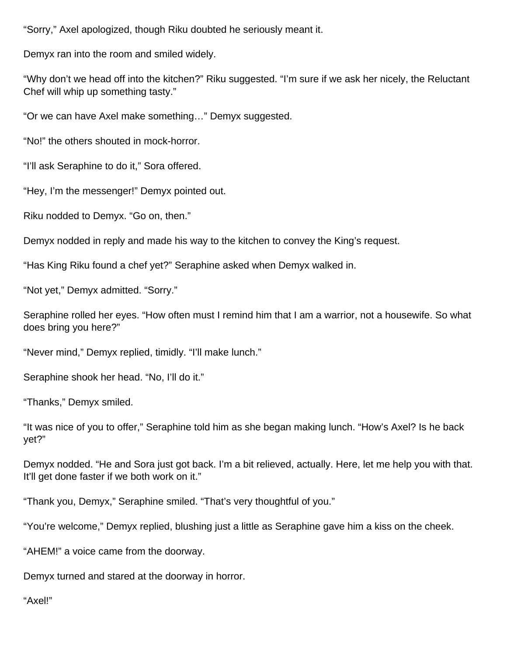"Sorry," Axel apologized, though Riku doubted he seriously meant it.

Demyx ran into the room and smiled widely.

"Why don't we head off into the kitchen?" Riku suggested. "I'm sure if we ask her nicely, the Reluctant Chef will whip up something tasty."

"Or we can have Axel make something…" Demyx suggested.

"No!" the others shouted in mock-horror.

"I'll ask Seraphine to do it," Sora offered.

"Hey, I'm the messenger!" Demyx pointed out.

Riku nodded to Demyx. "Go on, then."

Demyx nodded in reply and made his way to the kitchen to convey the King's request.

"Has King Riku found a chef yet?" Seraphine asked when Demyx walked in.

"Not yet," Demyx admitted. "Sorry."

Seraphine rolled her eyes. "How often must I remind him that I am a warrior, not a housewife. So what does bring you here?"

"Never mind," Demyx replied, timidly. "I'll make lunch."

Seraphine shook her head. "No, I'll do it."

"Thanks," Demyx smiled.

"It was nice of you to offer," Seraphine told him as she began making lunch. "How's Axel? Is he back yet?"

Demyx nodded. "He and Sora just got back. I'm a bit relieved, actually. Here, let me help you with that. It'll get done faster if we both work on it."

"Thank you, Demyx," Seraphine smiled. "That's very thoughtful of you."

"You're welcome," Demyx replied, blushing just a little as Seraphine gave him a kiss on the cheek.

"AHEM!" a voice came from the doorway.

Demyx turned and stared at the doorway in horror.

"Axel!"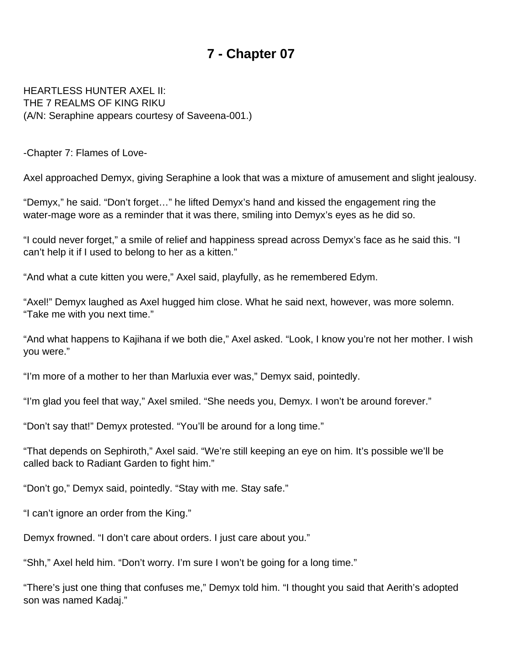<span id="page-15-0"></span>HEARTLESS HUNTER AXEL II: THE 7 REALMS OF KING RIKU (A/N: Seraphine appears courtesy of Saveena-001.)

-Chapter 7: Flames of Love-

Axel approached Demyx, giving Seraphine a look that was a mixture of amusement and slight jealousy.

"Demyx," he said. "Don't forget…" he lifted Demyx's hand and kissed the engagement ring the water-mage wore as a reminder that it was there, smiling into Demyx's eyes as he did so.

"I could never forget," a smile of relief and happiness spread across Demyx's face as he said this. "I can't help it if I used to belong to her as a kitten."

"And what a cute kitten you were," Axel said, playfully, as he remembered Edym.

"Axel!" Demyx laughed as Axel hugged him close. What he said next, however, was more solemn. "Take me with you next time."

"And what happens to Kajihana if we both die," Axel asked. "Look, I know you're not her mother. I wish you were."

"I'm more of a mother to her than Marluxia ever was," Demyx said, pointedly.

"I'm glad you feel that way," Axel smiled. "She needs you, Demyx. I won't be around forever."

"Don't say that!" Demyx protested. "You'll be around for a long time."

"That depends on Sephiroth," Axel said. "We're still keeping an eye on him. It's possible we'll be called back to Radiant Garden to fight him."

"Don't go," Demyx said, pointedly. "Stay with me. Stay safe."

"I can't ignore an order from the King."

Demyx frowned. "I don't care about orders. I just care about you."

"Shh," Axel held him. "Don't worry. I'm sure I won't be going for a long time."

"There's just one thing that confuses me," Demyx told him. "I thought you said that Aerith's adopted son was named Kadaj."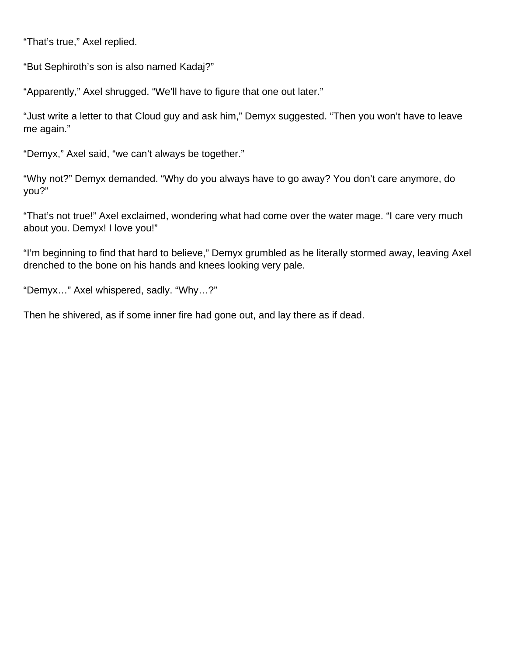"That's true," Axel replied.

"But Sephiroth's son is also named Kadaj?"

"Apparently," Axel shrugged. "We'll have to figure that one out later."

"Just write a letter to that Cloud guy and ask him," Demyx suggested. "Then you won't have to leave me again."

"Demyx," Axel said, "we can't always be together."

"Why not?" Demyx demanded. "Why do you always have to go away? You don't care anymore, do you?"

"That's not true!" Axel exclaimed, wondering what had come over the water mage. "I care very much about you. Demyx! I love you!"

"I'm beginning to find that hard to believe," Demyx grumbled as he literally stormed away, leaving Axel drenched to the bone on his hands and knees looking very pale.

"Demyx…" Axel whispered, sadly. "Why…?"

Then he shivered, as if some inner fire had gone out, and lay there as if dead.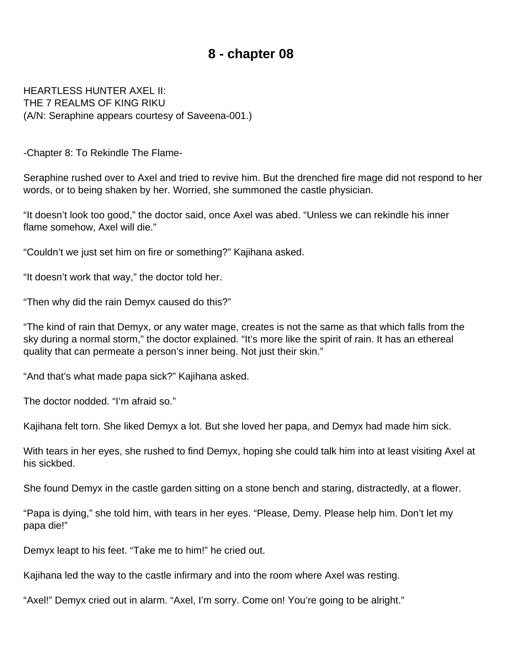#### **8 - chapter 08**

<span id="page-17-0"></span>HEARTLESS HUNTER AXEL II: THE 7 REALMS OF KING RIKU (A/N: Seraphine appears courtesy of Saveena-001.)

-Chapter 8: To Rekindle The Flame-

Seraphine rushed over to Axel and tried to revive him. But the drenched fire mage did not respond to her words, or to being shaken by her. Worried, she summoned the castle physician.

"It doesn't look too good," the doctor said, once Axel was abed. "Unless we can rekindle his inner flame somehow, Axel will die."

"Couldn't we just set him on fire or something?" Kajihana asked.

"It doesn't work that way," the doctor told her.

"Then why did the rain Demyx caused do this?"

"The kind of rain that Demyx, or any water mage, creates is not the same as that which falls from the sky during a normal storm," the doctor explained. "It's more like the spirit of rain. It has an ethereal quality that can permeate a person's inner being. Not just their skin."

"And that's what made papa sick?" Kajihana asked.

The doctor nodded. "I'm afraid so."

Kajihana felt torn. She liked Demyx a lot. But she loved her papa, and Demyx had made him sick.

With tears in her eyes, she rushed to find Demyx, hoping she could talk him into at least visiting Axel at his sickbed.

She found Demyx in the castle garden sitting on a stone bench and staring, distractedly, at a flower.

"Papa is dying," she told him, with tears in her eyes. "Please, Demy. Please help him. Don't let my papa die!"

Demyx leapt to his feet. "Take me to him!" he cried out.

Kajihana led the way to the castle infirmary and into the room where Axel was resting.

"Axel!" Demyx cried out in alarm. "Axel, I'm sorry. Come on! You're going to be alright."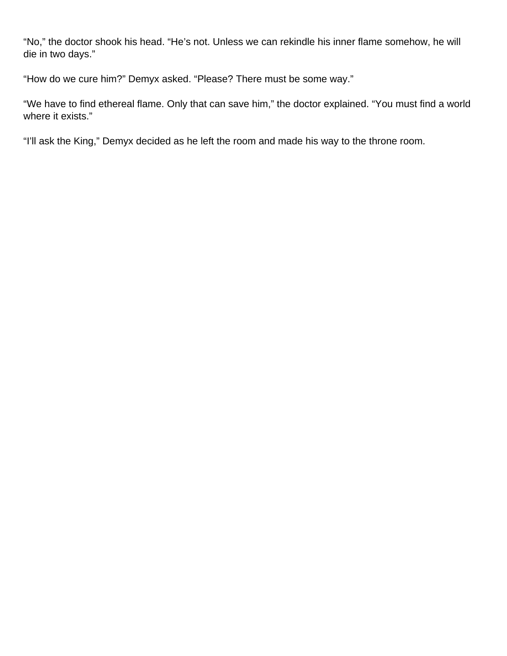"No," the doctor shook his head. "He's not. Unless we can rekindle his inner flame somehow, he will die in two days."

"How do we cure him?" Demyx asked. "Please? There must be some way."

"We have to find ethereal flame. Only that can save him," the doctor explained. "You must find a world where it exists."

"I'll ask the King," Demyx decided as he left the room and made his way to the throne room.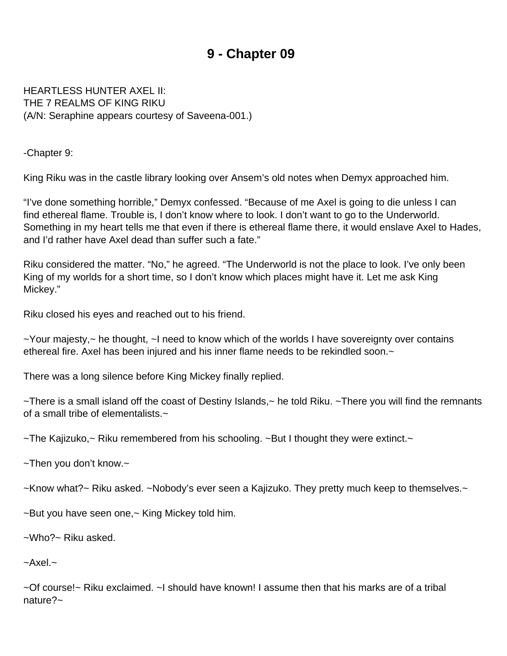<span id="page-19-0"></span>HEARTLESS HUNTER AXEL II: THE 7 REALMS OF KING RIKU (A/N: Seraphine appears courtesy of Saveena-001.)

-Chapter 9:

King Riku was in the castle library looking over Ansem's old notes when Demyx approached him.

"I've done something horrible," Demyx confessed. "Because of me Axel is going to die unless I can find ethereal flame. Trouble is, I don't know where to look. I don't want to go to the Underworld. Something in my heart tells me that even if there is ethereal flame there, it would enslave Axel to Hades, and I'd rather have Axel dead than suffer such a fate."

Riku considered the matter. "No," he agreed. "The Underworld is not the place to look. I've only been King of my worlds for a short time, so I don't know which places might have it. Let me ask King Mickey."

Riku closed his eyes and reached out to his friend.

~Your majesty,~ he thought, ~I need to know which of the worlds I have sovereignty over contains ethereal fire. Axel has been injured and his inner flame needs to be rekindled soon.~

There was a long silence before King Mickey finally replied.

~There is a small island off the coast of Destiny Islands,~ he told Riku. ~There you will find the remnants of a small tribe of elementalists.~

 $\sim$ The Kajizuko, $\sim$  Riku remembered from his schooling.  $\sim$  But I thought they were extinct. $\sim$ 

~Then you don't know.~

~Know what?~ Riku asked. ~Nobody's ever seen a Kajizuko. They pretty much keep to themselves.~

~But you have seen one,~ King Mickey told him.

~Who?~ Riku asked.

 $-\text{Axel}$ .

~Of course!~ Riku exclaimed. ~I should have known! I assume then that his marks are of a tribal nature?~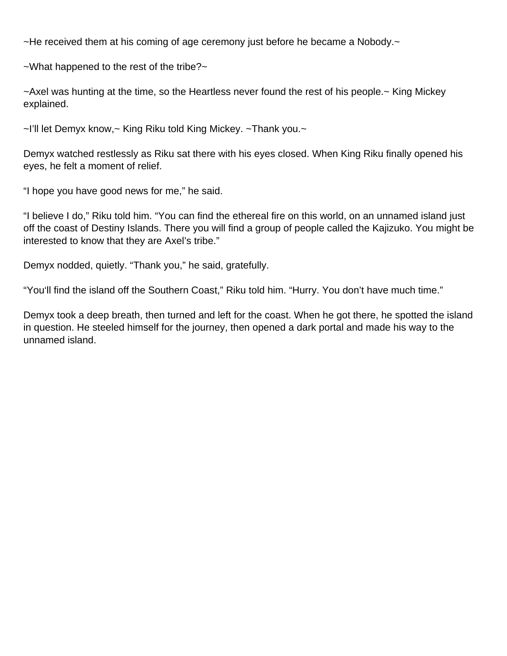$\sim$ He received them at his coming of age ceremony just before he became a Nobody. $\sim$ 

~What happened to the rest of the tribe?~

~Axel was hunting at the time, so the Heartless never found the rest of his people.~ King Mickey explained.

~I'll let Demyx know,~ King Riku told King Mickey. ~Thank you.~

Demyx watched restlessly as Riku sat there with his eyes closed. When King Riku finally opened his eyes, he felt a moment of relief.

"I hope you have good news for me," he said.

"I believe I do," Riku told him. "You can find the ethereal fire on this world, on an unnamed island just off the coast of Destiny Islands. There you will find a group of people called the Kajizuko. You might be interested to know that they are Axel's tribe."

Demyx nodded, quietly. "Thank you," he said, gratefully.

"You'll find the island off the Southern Coast," Riku told him. "Hurry. You don't have much time."

Demyx took a deep breath, then turned and left for the coast. When he got there, he spotted the island in question. He steeled himself for the journey, then opened a dark portal and made his way to the unnamed island.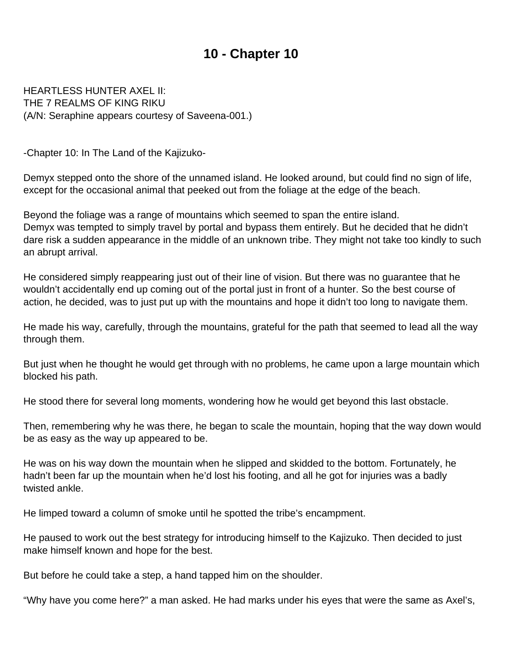<span id="page-21-0"></span>HEARTLESS HUNTER AXEL II: THE 7 REALMS OF KING RIKU (A/N: Seraphine appears courtesy of Saveena-001.)

-Chapter 10: In The Land of the Kajizuko-

Demyx stepped onto the shore of the unnamed island. He looked around, but could find no sign of life, except for the occasional animal that peeked out from the foliage at the edge of the beach.

Beyond the foliage was a range of mountains which seemed to span the entire island. Demyx was tempted to simply travel by portal and bypass them entirely. But he decided that he didn't dare risk a sudden appearance in the middle of an unknown tribe. They might not take too kindly to such an abrupt arrival.

He considered simply reappearing just out of their line of vision. But there was no guarantee that he wouldn't accidentally end up coming out of the portal just in front of a hunter. So the best course of action, he decided, was to just put up with the mountains and hope it didn't too long to navigate them.

He made his way, carefully, through the mountains, grateful for the path that seemed to lead all the way through them.

But just when he thought he would get through with no problems, he came upon a large mountain which blocked his path.

He stood there for several long moments, wondering how he would get beyond this last obstacle.

Then, remembering why he was there, he began to scale the mountain, hoping that the way down would be as easy as the way up appeared to be.

He was on his way down the mountain when he slipped and skidded to the bottom. Fortunately, he hadn't been far up the mountain when he'd lost his footing, and all he got for injuries was a badly twisted ankle.

He limped toward a column of smoke until he spotted the tribe's encampment.

He paused to work out the best strategy for introducing himself to the Kajizuko. Then decided to just make himself known and hope for the best.

But before he could take a step, a hand tapped him on the shoulder.

"Why have you come here?" a man asked. He had marks under his eyes that were the same as Axel's,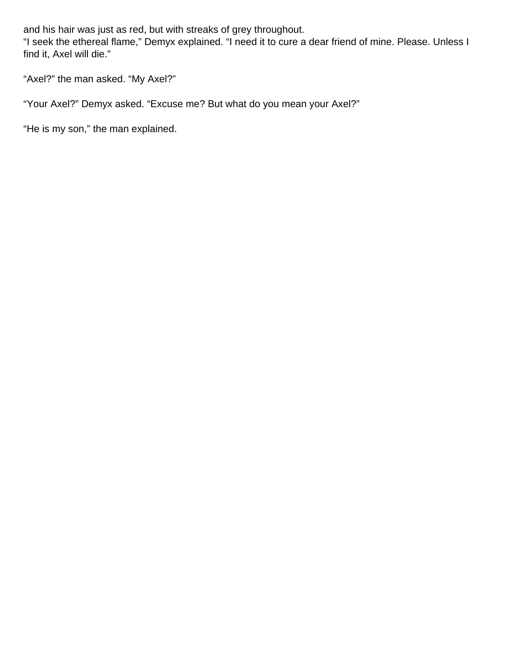and his hair was just as red, but with streaks of grey throughout.

"I seek the ethereal flame," Demyx explained. "I need it to cure a dear friend of mine. Please. Unless I find it, Axel will die."

"Axel?" the man asked. "My Axel?"

"Your Axel?" Demyx asked. "Excuse me? But what do you mean your Axel?"

"He is my son," the man explained.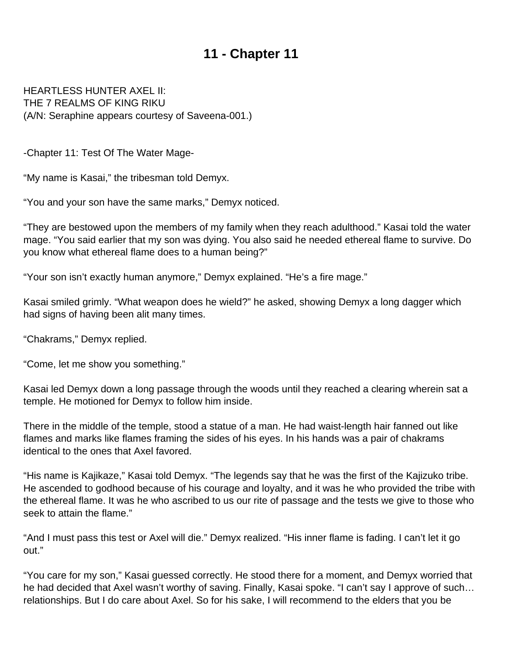<span id="page-23-0"></span>HEARTLESS HUNTER AXEL II: THE 7 REALMS OF KING RIKU (A/N: Seraphine appears courtesy of Saveena-001.)

-Chapter 11: Test Of The Water Mage-

"My name is Kasai," the tribesman told Demyx.

"You and your son have the same marks," Demyx noticed.

"They are bestowed upon the members of my family when they reach adulthood." Kasai told the water mage. "You said earlier that my son was dying. You also said he needed ethereal flame to survive. Do you know what ethereal flame does to a human being?"

"Your son isn't exactly human anymore," Demyx explained. "He's a fire mage."

Kasai smiled grimly. "What weapon does he wield?" he asked, showing Demyx a long dagger which had signs of having been alit many times.

"Chakrams," Demyx replied.

"Come, let me show you something."

Kasai led Demyx down a long passage through the woods until they reached a clearing wherein sat a temple. He motioned for Demyx to follow him inside.

There in the middle of the temple, stood a statue of a man. He had waist-length hair fanned out like flames and marks like flames framing the sides of his eyes. In his hands was a pair of chakrams identical to the ones that Axel favored.

"His name is Kajikaze," Kasai told Demyx. "The legends say that he was the first of the Kajizuko tribe. He ascended to godhood because of his courage and loyalty, and it was he who provided the tribe with the ethereal flame. It was he who ascribed to us our rite of passage and the tests we give to those who seek to attain the flame."

"And I must pass this test or Axel will die." Demyx realized. "His inner flame is fading. I can't let it go out."

"You care for my son," Kasai guessed correctly. He stood there for a moment, and Demyx worried that he had decided that Axel wasn't worthy of saving. Finally, Kasai spoke. "I can't say I approve of such… relationships. But I do care about Axel. So for his sake, I will recommend to the elders that you be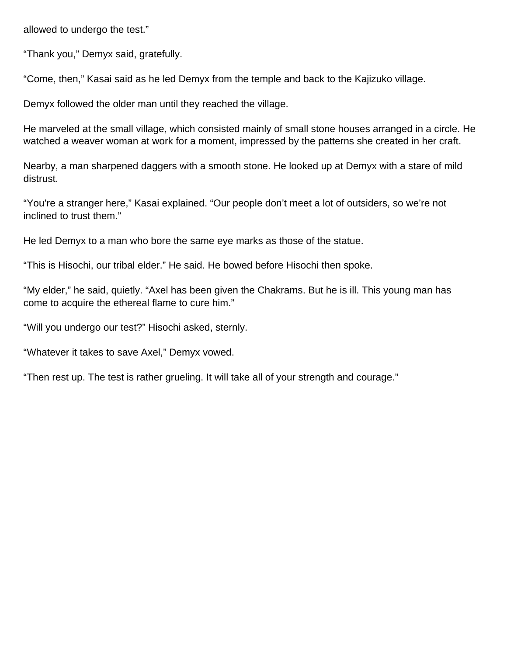allowed to undergo the test."

"Thank you," Demyx said, gratefully.

"Come, then," Kasai said as he led Demyx from the temple and back to the Kajizuko village.

Demyx followed the older man until they reached the village.

He marveled at the small village, which consisted mainly of small stone houses arranged in a circle. He watched a weaver woman at work for a moment, impressed by the patterns she created in her craft.

Nearby, a man sharpened daggers with a smooth stone. He looked up at Demyx with a stare of mild distrust.

"You're a stranger here," Kasai explained. "Our people don't meet a lot of outsiders, so we're not inclined to trust them."

He led Demyx to a man who bore the same eye marks as those of the statue.

"This is Hisochi, our tribal elder." He said. He bowed before Hisochi then spoke.

"My elder," he said, quietly. "Axel has been given the Chakrams. But he is ill. This young man has come to acquire the ethereal flame to cure him."

"Will you undergo our test?" Hisochi asked, sternly.

"Whatever it takes to save Axel," Demyx vowed.

"Then rest up. The test is rather grueling. It will take all of your strength and courage."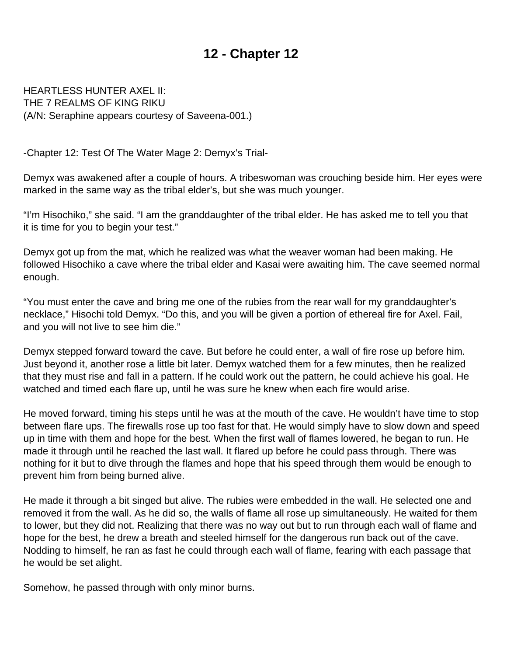<span id="page-25-0"></span>HEARTLESS HUNTER AXEL II: THE 7 REALMS OF KING RIKU (A/N: Seraphine appears courtesy of Saveena-001.)

-Chapter 12: Test Of The Water Mage 2: Demyx's Trial-

Demyx was awakened after a couple of hours. A tribeswoman was crouching beside him. Her eyes were marked in the same way as the tribal elder's, but she was much younger.

"I'm Hisochiko," she said. "I am the granddaughter of the tribal elder. He has asked me to tell you that it is time for you to begin your test."

Demyx got up from the mat, which he realized was what the weaver woman had been making. He followed Hisochiko a cave where the tribal elder and Kasai were awaiting him. The cave seemed normal enough.

"You must enter the cave and bring me one of the rubies from the rear wall for my granddaughter's necklace," Hisochi told Demyx. "Do this, and you will be given a portion of ethereal fire for Axel. Fail, and you will not live to see him die."

Demyx stepped forward toward the cave. But before he could enter, a wall of fire rose up before him. Just beyond it, another rose a little bit later. Demyx watched them for a few minutes, then he realized that they must rise and fall in a pattern. If he could work out the pattern, he could achieve his goal. He watched and timed each flare up, until he was sure he knew when each fire would arise.

He moved forward, timing his steps until he was at the mouth of the cave. He wouldn't have time to stop between flare ups. The firewalls rose up too fast for that. He would simply have to slow down and speed up in time with them and hope for the best. When the first wall of flames lowered, he began to run. He made it through until he reached the last wall. It flared up before he could pass through. There was nothing for it but to dive through the flames and hope that his speed through them would be enough to prevent him from being burned alive.

He made it through a bit singed but alive. The rubies were embedded in the wall. He selected one and removed it from the wall. As he did so, the walls of flame all rose up simultaneously. He waited for them to lower, but they did not. Realizing that there was no way out but to run through each wall of flame and hope for the best, he drew a breath and steeled himself for the dangerous run back out of the cave. Nodding to himself, he ran as fast he could through each wall of flame, fearing with each passage that he would be set alight.

Somehow, he passed through with only minor burns.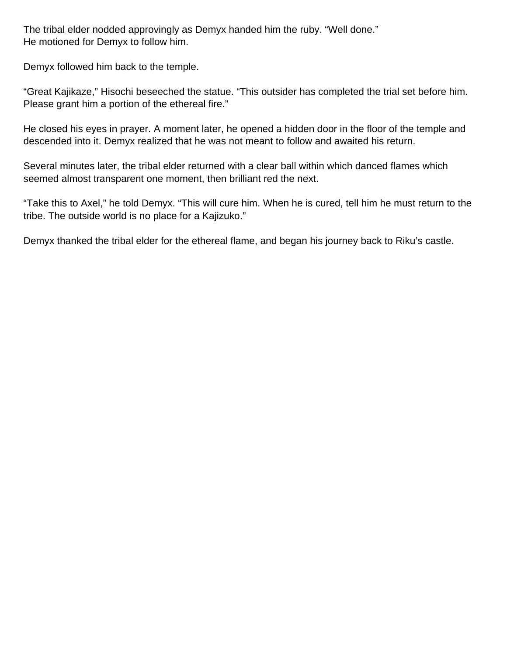The tribal elder nodded approvingly as Demyx handed him the ruby. "Well done." He motioned for Demyx to follow him.

Demyx followed him back to the temple.

"Great Kajikaze," Hisochi beseeched the statue. "This outsider has completed the trial set before him. Please grant him a portion of the ethereal fire."

He closed his eyes in prayer. A moment later, he opened a hidden door in the floor of the temple and descended into it. Demyx realized that he was not meant to follow and awaited his return.

Several minutes later, the tribal elder returned with a clear ball within which danced flames which seemed almost transparent one moment, then brilliant red the next.

"Take this to Axel," he told Demyx. "This will cure him. When he is cured, tell him he must return to the tribe. The outside world is no place for a Kajizuko."

Demyx thanked the tribal elder for the ethereal flame, and began his journey back to Riku's castle.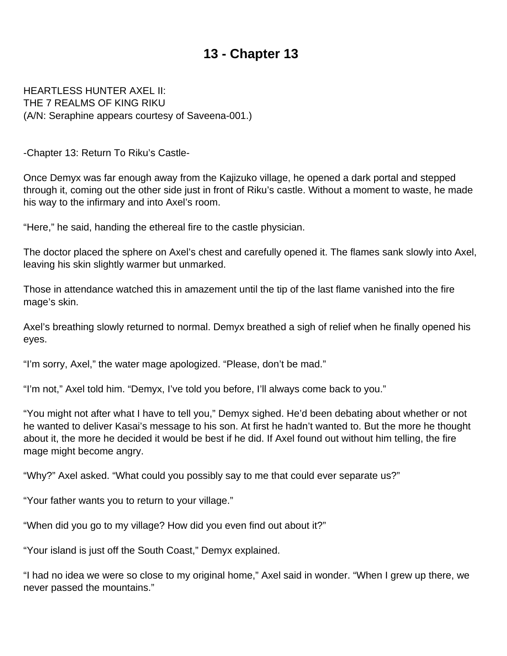<span id="page-27-0"></span>HEARTLESS HUNTER AXEL II: THE 7 REALMS OF KING RIKU (A/N: Seraphine appears courtesy of Saveena-001.)

-Chapter 13: Return To Riku's Castle-

Once Demyx was far enough away from the Kajizuko village, he opened a dark portal and stepped through it, coming out the other side just in front of Riku's castle. Without a moment to waste, he made his way to the infirmary and into Axel's room.

"Here," he said, handing the ethereal fire to the castle physician.

The doctor placed the sphere on Axel's chest and carefully opened it. The flames sank slowly into Axel, leaving his skin slightly warmer but unmarked.

Those in attendance watched this in amazement until the tip of the last flame vanished into the fire mage's skin.

Axel's breathing slowly returned to normal. Demyx breathed a sigh of relief when he finally opened his eyes.

"I'm sorry, Axel," the water mage apologized. "Please, don't be mad."

"I'm not," Axel told him. "Demyx, I've told you before, I'll always come back to you."

"You might not after what I have to tell you," Demyx sighed. He'd been debating about whether or not he wanted to deliver Kasai's message to his son. At first he hadn't wanted to. But the more he thought about it, the more he decided it would be best if he did. If Axel found out without him telling, the fire mage might become angry.

"Why?" Axel asked. "What could you possibly say to me that could ever separate us?"

"Your father wants you to return to your village."

"When did you go to my village? How did you even find out about it?"

"Your island is just off the South Coast," Demyx explained.

"I had no idea we were so close to my original home," Axel said in wonder. "When I grew up there, we never passed the mountains."